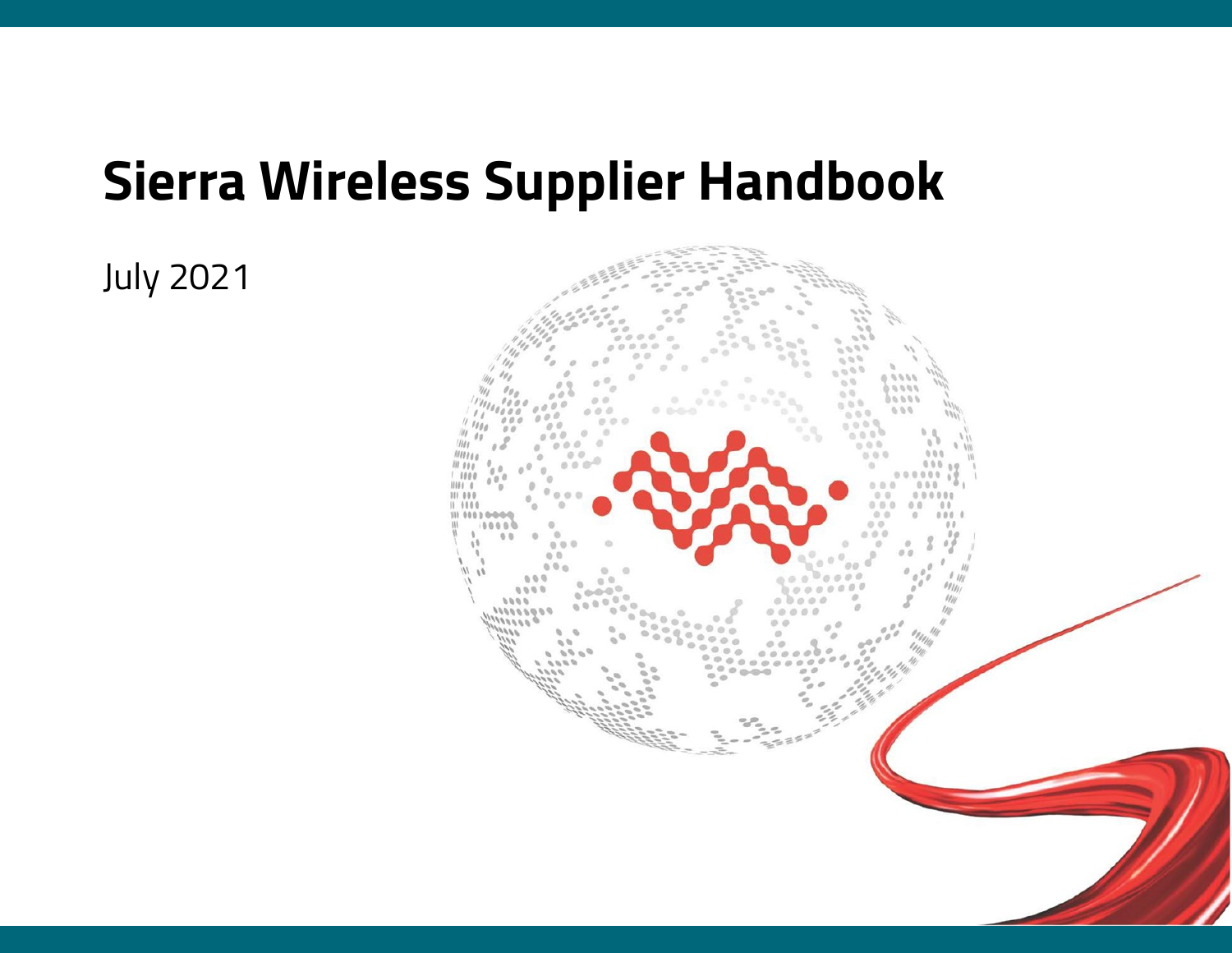# **Sierra Wireless Supplier Handbook**

July 2021

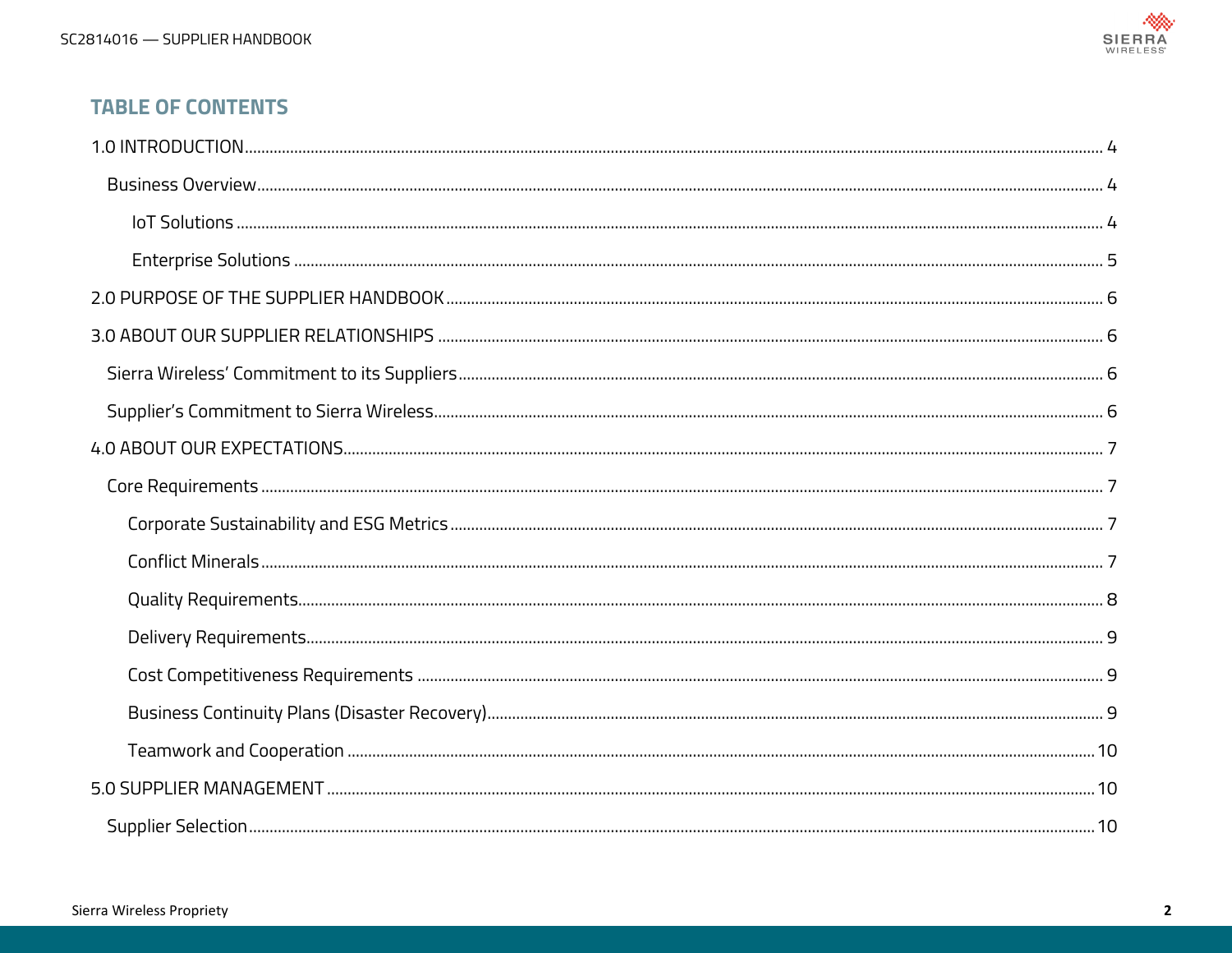

### **TABLE OF CONTENTS**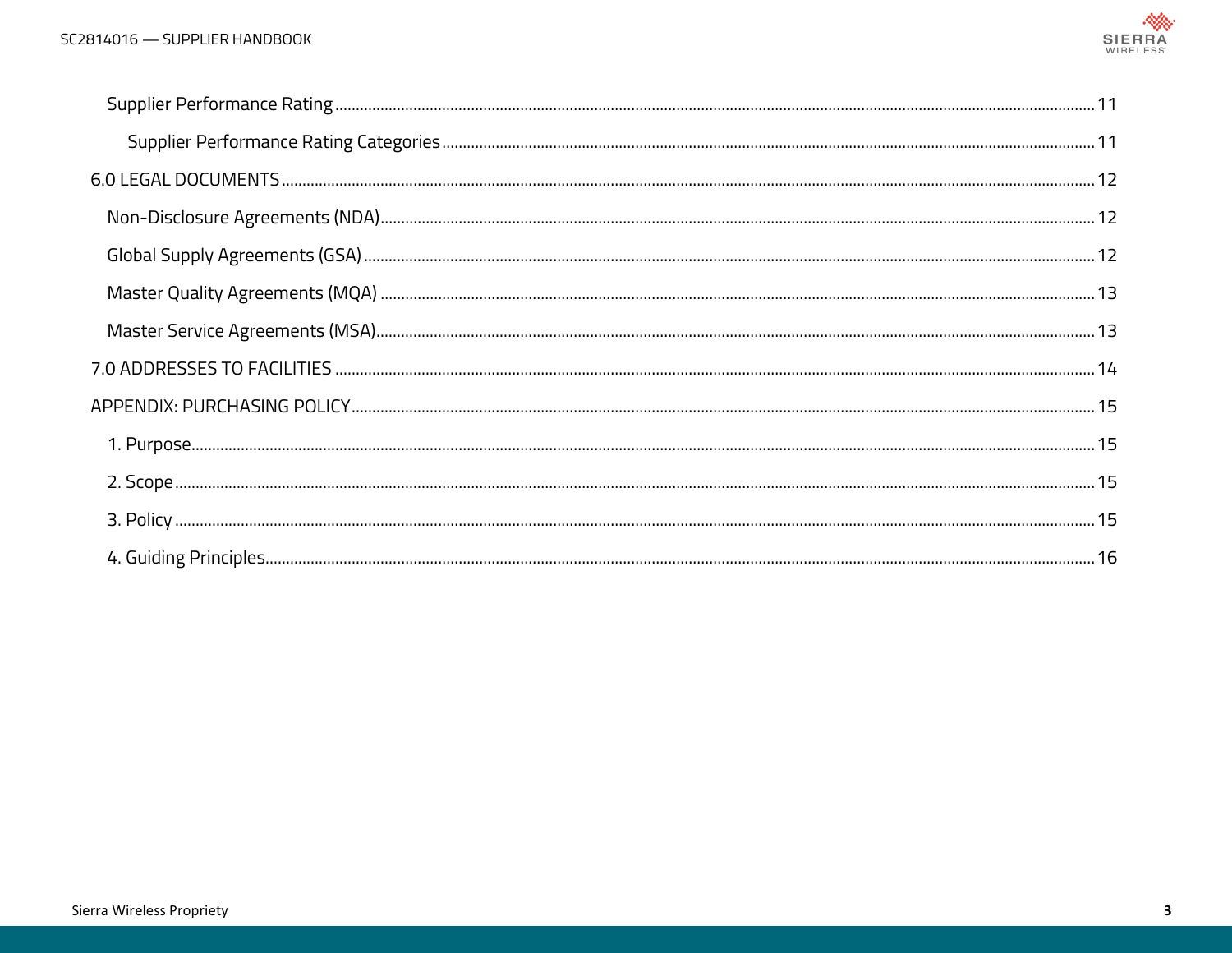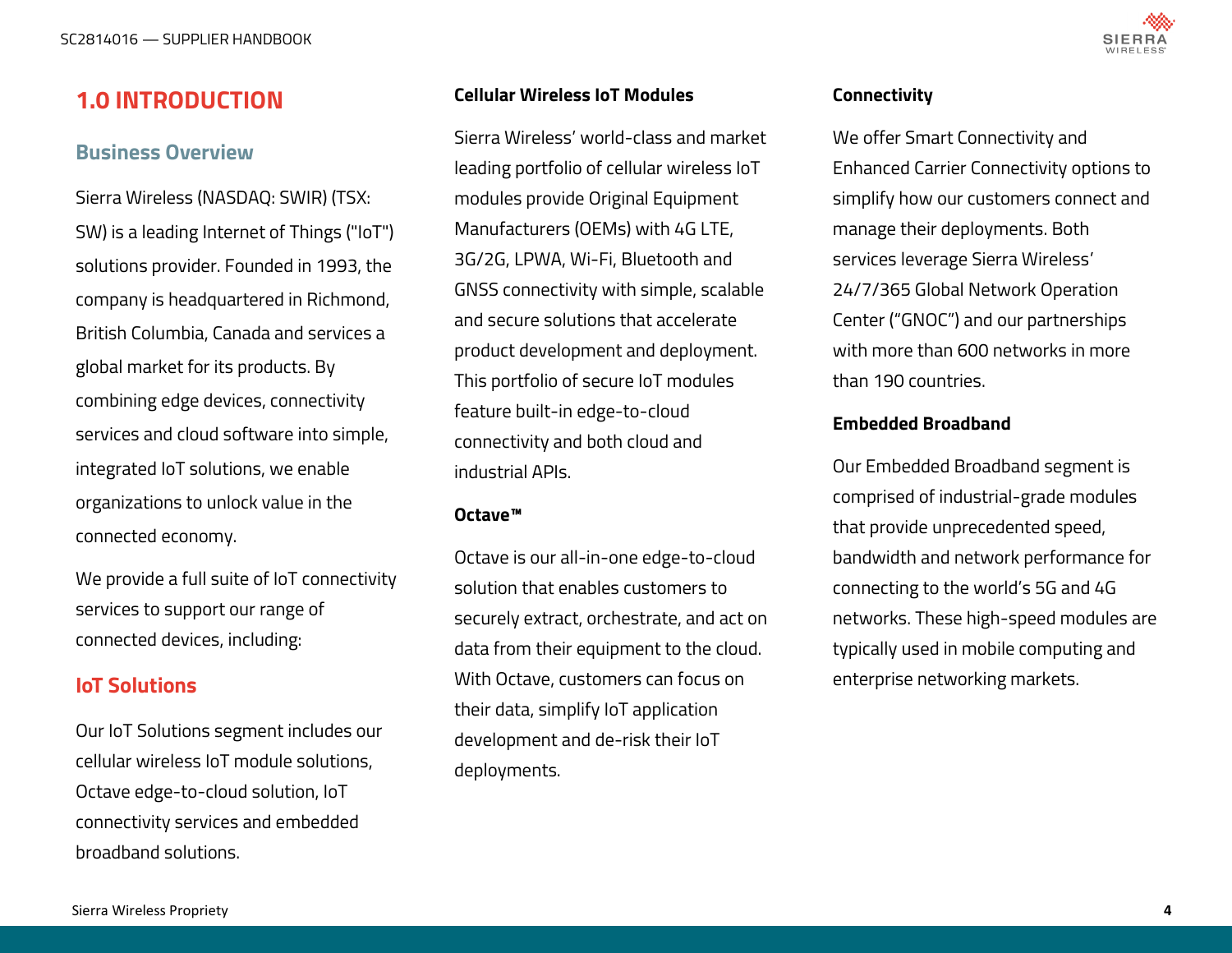

# <span id="page-3-0"></span>**1.0 INTRODUCTION**

### **Business Overview**

Sierra Wireless (NASDAQ: SWIR) (TSX: SW) is a leading Internet of Things ("IoT") solutions provider. Founded in 1993, the company is headquartered in Richmond, British Columbia, Canada and services a global market for its products. By combining edge devices, connectivity services and cloud software into simple, integrated IoT solutions, we enable organizations to unlock value in the connected economy.

We provide a full suite of IoT connectivity services to support our range of connected devices, including:

# **IoT Solutions**

Our IoT Solutions segment includes our cellular wireless IoT module solutions, Octave edge-to-cloud solution, IoT connectivity services and embedded broadband solutions.

#### **Cellular Wireless IoT Modules**

Sierra Wireless' world-class and market leading portfolio of cellular wireless IoT modules provide Original Equipment Manufacturers (OEMs) with 4G LTE, 3G/2G, LPWA, Wi-Fi, Bluetooth and GNSS connectivity with simple, scalable and secure solutions that accelerate product development and deployment. This portfolio of secure IoT modules feature built-in edge-to-cloud connectivity and both cloud and industrial APIs.

#### **Octave™**

Octave is our all-in-one edge-to-cloud solution that enables customers to securely extract, orchestrate, and act on data from their equipment to the cloud. With Octave, customers can focus on their data, simplify IoT application development and de-risk their IoT deployments.

#### **Connectivity**

We offer Smart Connectivity and Enhanced Carrier Connectivity options to simplify how our customers connect and manage their deployments. Both services leverage Sierra Wireless' 24/7/365 Global Network Operation Center ("GNOC") and our partnerships with more than 600 networks in more than 190 countries.

#### **Embedded Broadband**

Our Embedded Broadband segment is comprised of industrial-grade modules that provide unprecedented speed, bandwidth and network performance for connecting to the world's 5G and 4G networks. These high-speed modules are typically used in mobile computing and enterprise networking markets.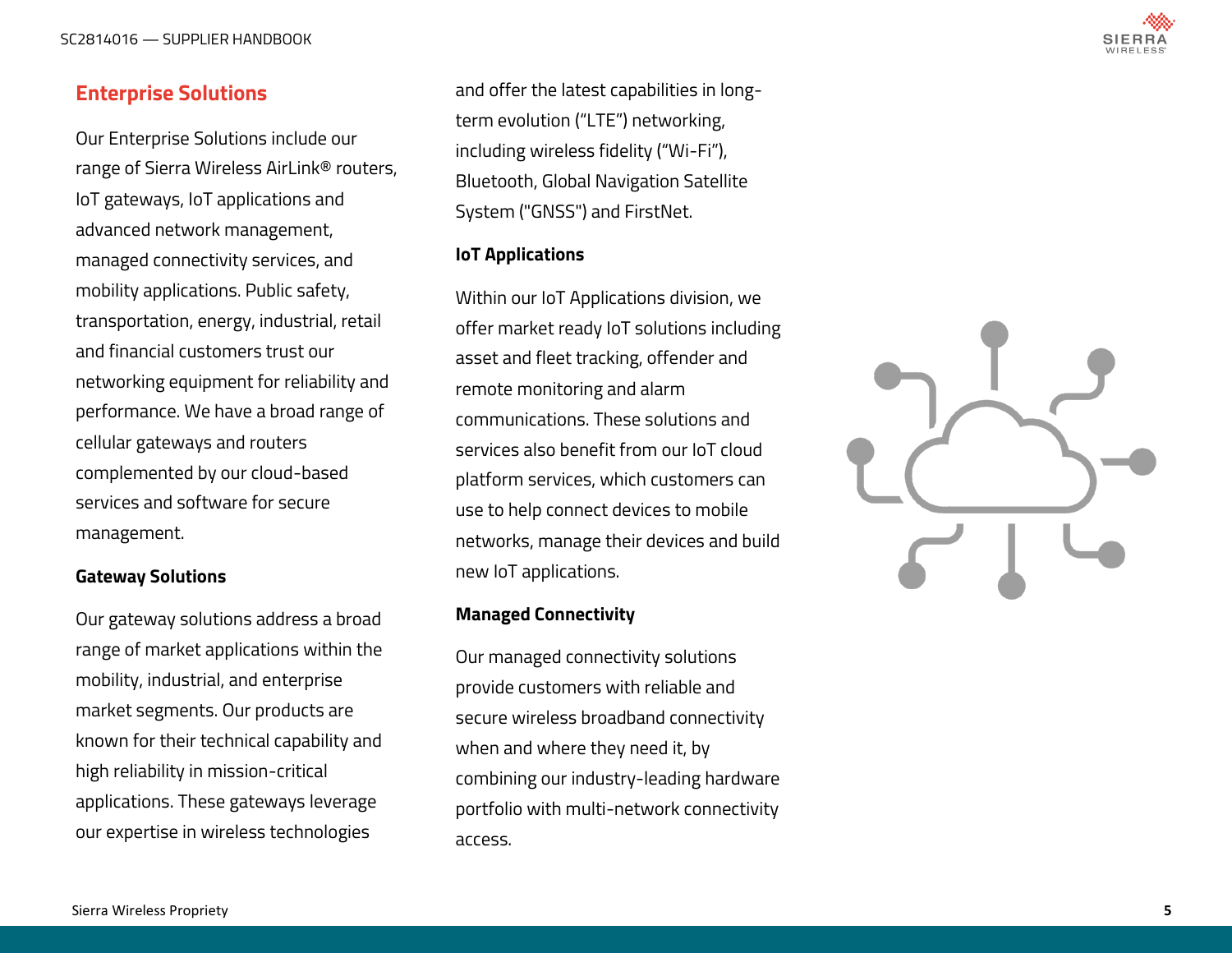<span id="page-4-0"></span>SC2814016 — SUPPLIER HANDBOOK



# **Enterprise Solutions**

Our Enterprise Solutions include our range of Sierra Wireless AirLink® routers, IoT gateways, IoT applications and advanced network management, managed connectivity services, and mobility applications. Public safety, transportation, energy, industrial, retail and financial customers trust our networking equipment for reliability and performance. We have a broad range of cellular gateways and routers complemented by our cloud -based services and software for secure management.

#### **Gateway Solutions**

Our gateway solutions address a broad range of market applications within the mobility, industrial, and enterprise market segments. Our products are known for their technical capability and high reliability in mission -critical applications. These gateways leverage our expertise in wireless technologies

and offer the latest capabilities in long term evolution ("LTE") networking, including wireless fidelity ("Wi -Fi"), Bluetooth, Global Navigation Satellite System ("GNSS") and FirstNet.

#### **IoT Applications**

Within our IoT Applications division, we offer market ready IoT solutions including asset and fleet tracking, offender and remote monitoring and alarm communications. These solutions and services also benefit from our IoT cloud platform services, which customers can use to help connect devices to mobile networks, manage their devices and build new IoT applications.

#### **Managed Connectivity**

Our managed connectivity solutions provide customers with reliable and secure wireless broadband connectivity when and where they need it, by combining our industry -leading hardware portfolio with multi -network connectivity access.

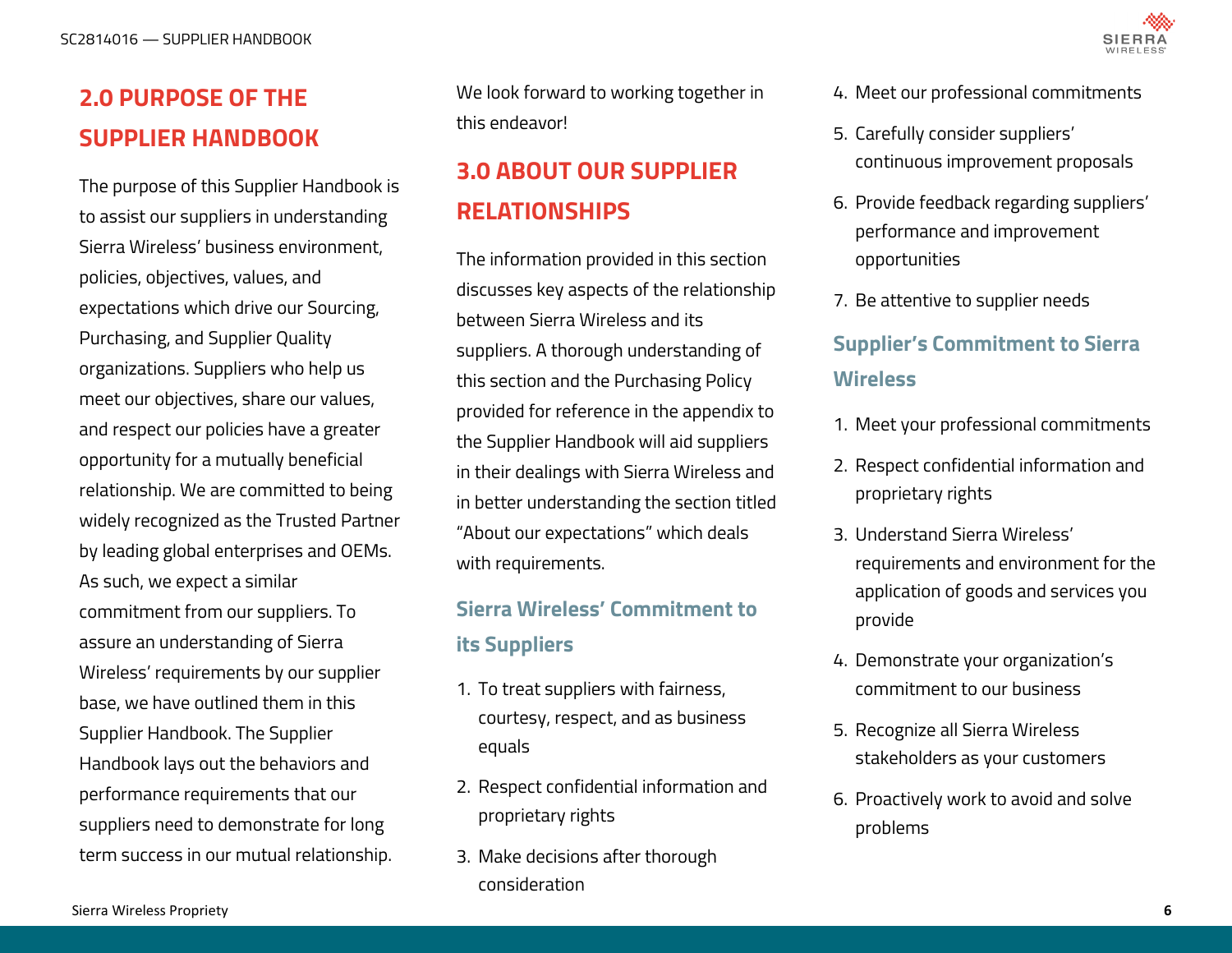# <span id="page-5-0"></span>**2.0 PURPOSE OF THE SUPPLIER HANDBOOK**

The purpose of this Supplier Handbook is to assist our suppliers in understanding Sierra Wireless' business environment, policies, objectives, values, and expectations which drive our Sourcing, Purchasing, and Supplier Quality organizations. Suppliers who help us meet our objectives, share our values, and respect our policies have a greater opportunity for a mutually beneficial relationship. We are committed to being widely recognized as the Trusted Partner by leading global enterprises and OEMs. As such, we expect a similar commitment from our suppliers. To assure an understanding of Sierra Wireless' requirements by our supplier base, we have outlined them in this Supplier Handbook. The Supplier Handbook lays out the behaviors and performance requirements that our suppliers need to demonstrate for long term success in our mutual relationship.

We look forward to working together in this endeavor!

# **3.0 ABOUT OUR SUPPLIER RELATIONSHIPS**

The information provided in this section discusses key aspects of the relationship between Sierra Wireless and its suppliers. A thorough understanding of this section and the Purchasing Policy provided for reference in the appendix to the Supplier Handbook will aid suppliers in their dealings with Sierra Wireless and in better understanding the section titled "About our expectations" which deals with requirements.

# **Sierra Wireless' Commitment to its Suppliers**

- 1. To treat suppliers with fairness, courtesy, respect, and as business equals
- 2. Respect confidential information and proprietary rights
- 3. Make decisions after thorough consideration
- 4. Meet our professional commitments
- 5. Carefully consider suppliers' continuous improvement proposals
- 6. Provide feedback regarding suppliers' performance and improvement opportunities
- 7. Be attentive to supplier needs

# **Supplier's Commitment to Sierra Wireless**

- 1. Meet your professional commitments
- 2. Respect confidential information and proprietary rights
- 3. Understand Sierra Wireless' requirements and environment for the application of goods and services you provide
- 4. Demonstrate your organization's commitment to our business
- 5. Recognize all Sierra Wireless stakeholders as your customers
- 6. Proactively work to avoid and solve problems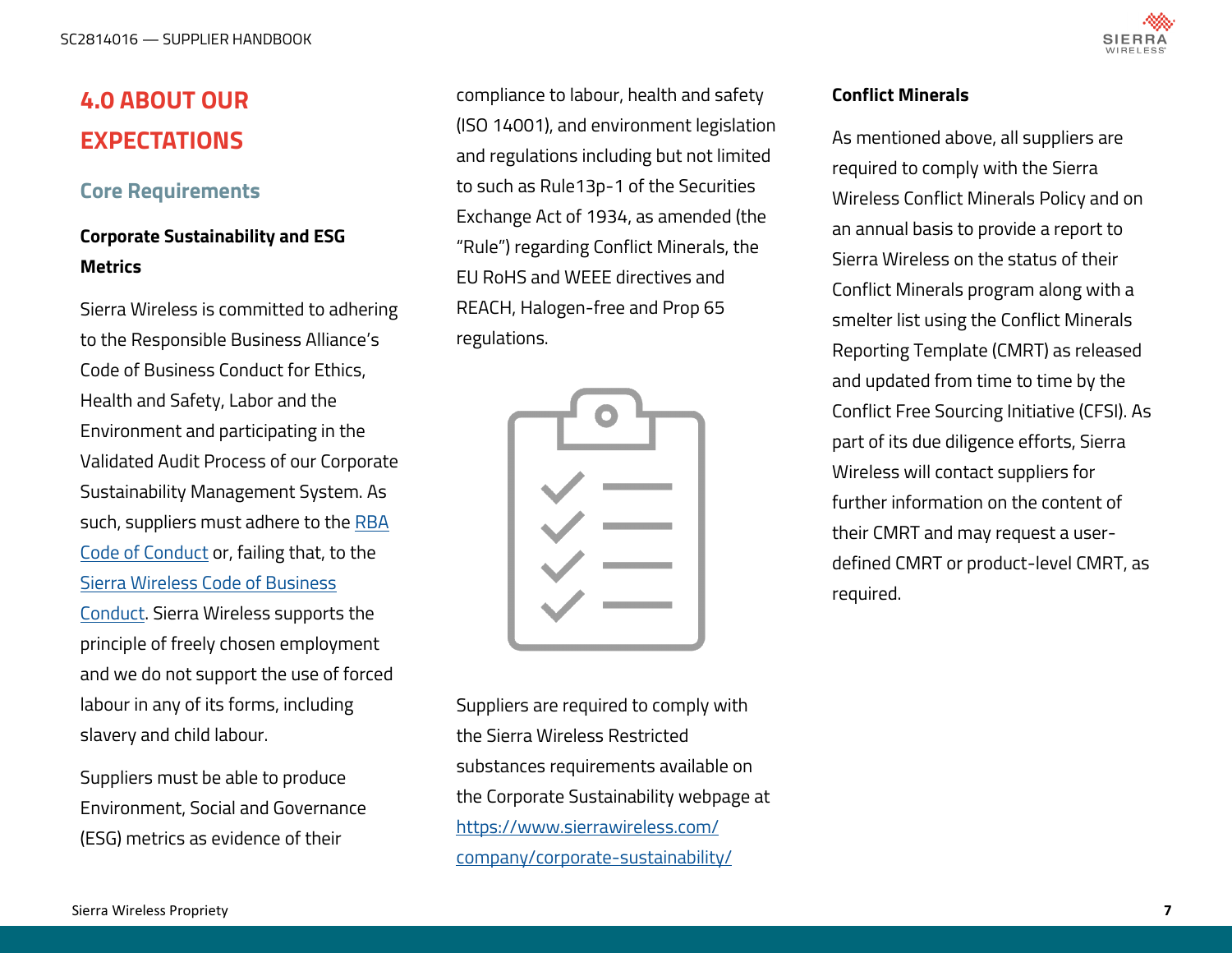# <span id="page-6-0"></span>**4.0 ABOUT OUR EXPECTATIONS**

### **Core Requirements**

# **Corporate Sustainability and ESG Metrics**

Sierra Wireless is committed to adhering to the Responsible Business Alliance's Code of Business Conduct for Ethics, Health and Safety, Labor and the Environment and participating in the Validated Audit Process of our Corporate Sustainability Management System. As such, suppliers must adhere to the [RBA](http://www.responsiblebusiness.org/code-of-conduct/)  [Code of Conduct](http://www.responsiblebusiness.org/code-of-conduct/) or, failing that, to the [Sierra Wireless Code of Business](https://www.sierrawireless.com/-/media/iot/pdf/investor/bod/code-of-business-conduct----board-approved-10mar2021.ashx)  [Conduct.](https://www.sierrawireless.com/-/media/iot/pdf/investor/bod/code-of-business-conduct----board-approved-10mar2021.ashx) Sierra Wireless supports the principle of freely chosen employment and we do not support the use of forced labour in any of its forms, including slavery and child labour.

Suppliers must be able to produce Environment, Social and Governance (ESG) metrics as evidence of their

compliance to labour, health and safety (ISO 14001), and environment legislation and regulations including but not limited to such as Rule13p-1 of the Securities Exchange Act of 1934, as amended (the "Rule") regarding Conflict Minerals, the EU RoHS and WEEE directives and REACH, Halogen-free and Prop 65 regulations.

Suppliers are required to comply with the Sierra Wireless Restricted substances requirements available on the Corporate Sustainability webpage at [https://www.sierrawireless.com/](https://www.sierrawireless.com/company/corporate-sustainability/) [company/corporate](https://www.sierrawireless.com/company/corporate-sustainability/)-sustainability/

#### **Conflict Minerals**

As mentioned above, all suppliers are required to comply with the Sierra Wireless Conflict Minerals Policy and on an annual basis to provide a report to Sierra Wireless on the status of their Conflict Minerals program along with a smelter list using the Conflict Minerals Reporting Template (CMRT) as released and updated from time to time by the Conflict Free Sourcing Initiative (CFSI). As part of its due diligence efforts, Sierra Wireless will contact suppliers for further information on the content of their CMRT and may request a userdefined CMRT or product-level CMRT, as required.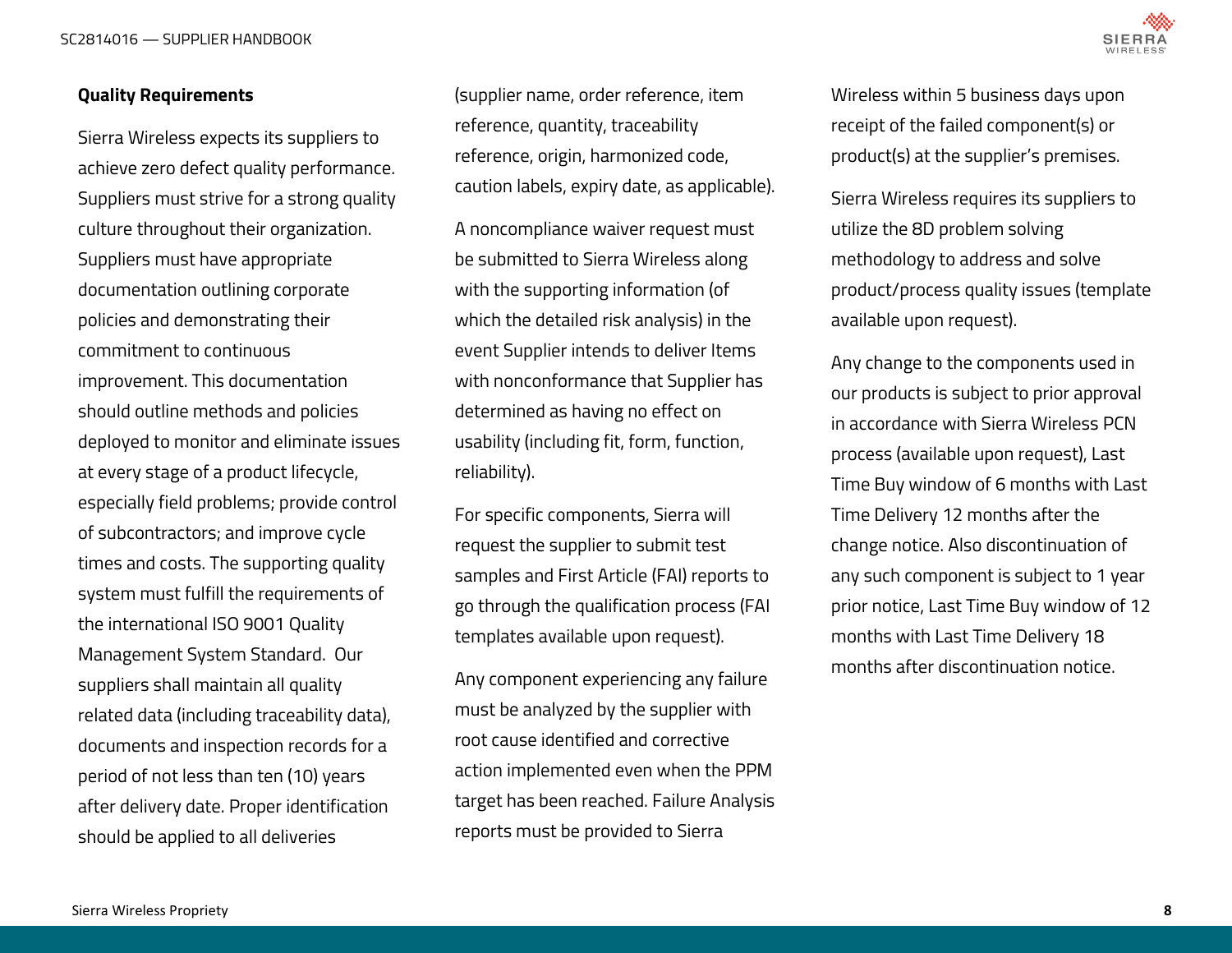<span id="page-7-0"></span>SC2814016 — SUPPLIER HANDBOOK



#### **Quality Requirements**

Sierra Wireless expects its suppliers to achieve zero defect quality performance. Suppliers must strive for a strong quality culture throughout their organization. Suppliers must have appropriate documentation outlining corporate policies and demonstrating their commitment to continuous improvement. This documentation should outline methods and policies deployed to monitor and eliminate issues at every stage of a product lifecycle, especially field problems; provide control of subcontractors; and improve cycle times and costs. The supporting quality system must fulfill the requirements of the international ISO 9001 Quality Management System Standard. Our suppliers shall maintain all quality related data (including traceability data), documents and inspection records for a period of not less than ten (10) years after delivery date. Proper identification should be applied to all deliveries

(supplier name, order reference, item reference, quantity, traceability reference, origin, harmonized code, caution labels, expiry date, as applicable).

A noncompliance waiver request must be submitted to Sierra Wireless along with the supporting information (of which the detailed risk analysis) in the event Supplier intends to deliver Items with nonconformance that Supplier has determined as having no effect on usability (including fit, form, function, reliability).

For specific components, Sierra will request the supplier to submit test samples and First Article (FAI) reports to go through the qualification process (FAI templates available upon request).

Any component experiencing any failure must be analyzed by the supplier with root cause identified and corrective action implemented even when the PPM target has been reached. Failure Analysis reports must be provided to Sierra

Wireless within 5 business days upon receipt of the failed component(s) or product(s) at the supplier's premises.

Sierra Wireless requires its suppliers to utilize the 8D problem solving methodology to address and solve product/process quality issues (template available upon request).

Any change to the components used in our products is subject to prior approval in accordance with Sierra Wireless PCN process (available upon request), Last Time Buy window of 6 months with Last Time Delivery 12 months after the change notice. Also discontinuation of any such component is subject to 1 year prior notice, Last Time Buy window of 12 months with Last Time Delivery 18 months after discontinuation notice.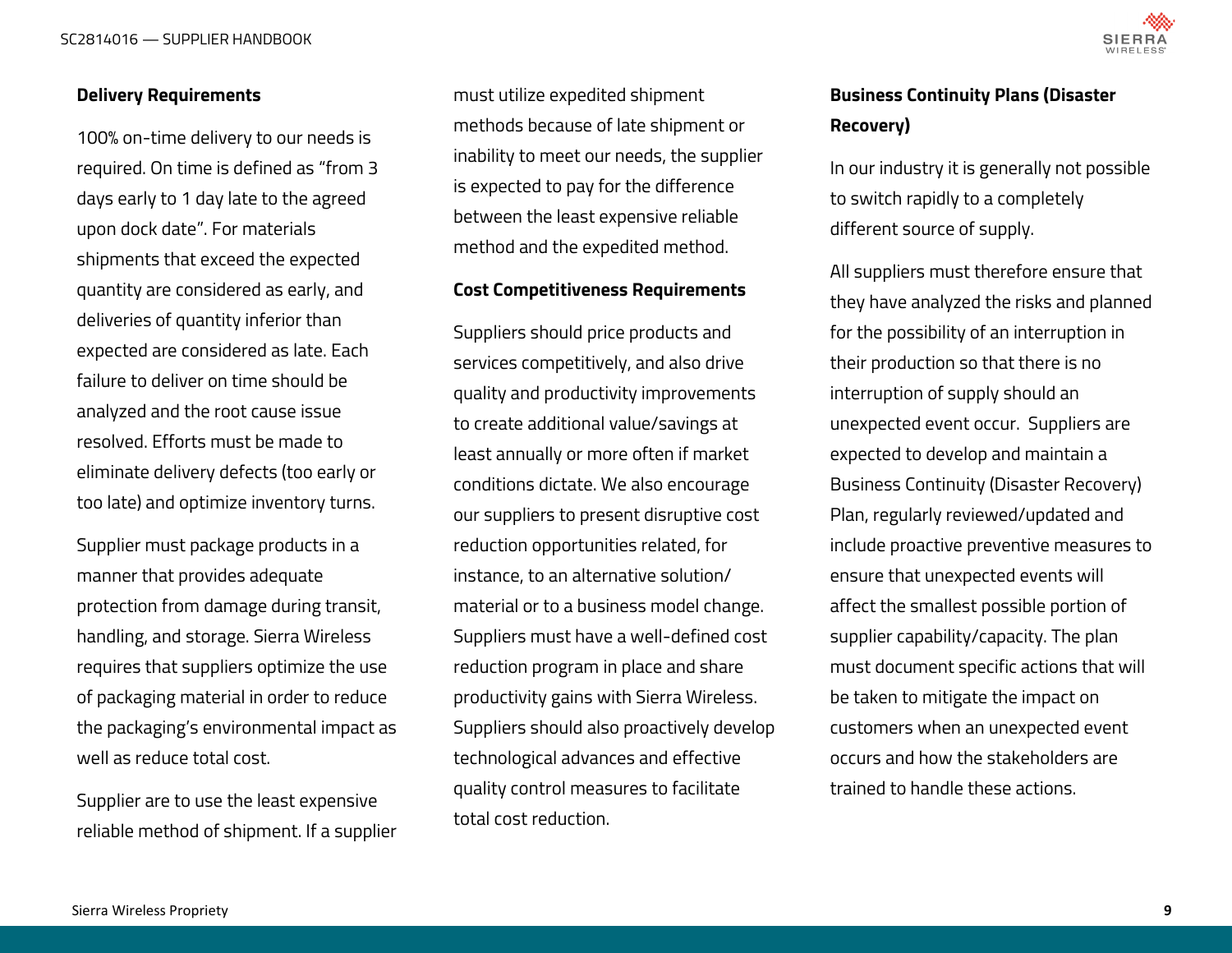<span id="page-8-0"></span>SC2814016 — SUPPLIER HANDBOOK



#### **Delivery Requirements**

100% on-time delivery to our needs is required. On time is defined as "from 3 days early to 1 day late to the agreed upon dock date". For materials shipments that exceed the expected quantity are considered as early, and deliveries of quantity inferior than expected are considered as late. Each failure to deliver on time should be analyzed and the root cause issue resolved. Efforts must be made to eliminate delivery defects (too early or too late) and optimize inventory turns.

Supplier must package products in a manner that provides adequate protection from damage during transit, handling, and storage. Sierra Wireless requires that suppliers optimize the use of packaging material in order to reduce the packaging's environmental impact as well as reduce total cost.

Supplier are to use the least expensive reliable method of shipment. If a supplier

must utilize expedited shipment methods because of late shipment or inability to meet our needs, the supplier is expected to pay for the difference between the least expensive reliable method and the expedited method.

#### **Cost Competitiveness Requirements**

Suppliers should price products and services competitively, and also drive quality and productivity improvements to create additional value/savings at least annually or more often if market conditions dictate. We also encourage our suppliers to present disruptive cost reduction opportunities related, for instance, to an alternative solution/ material or to a business model change. Suppliers must have a well-defined cost reduction program in place and share productivity gains with Sierra Wireless. Suppliers should also proactively develop technological advances and effective quality control measures to facilitate total cost reduction.

## **Business Continuity Plans (Disaster Recovery)**

In our industry it is generally not possible to switch rapidly to a completely different source of supply.

All suppliers must therefore ensure that they have analyzed the risks and planned for the possibility of an interruption in their production so that there is no interruption of supply should an unexpected event occur. Suppliers are expected to develop and maintain a Business Continuity (Disaster Recovery) Plan, regularly reviewed/updated and include proactive preventive measures to ensure that unexpected events will affect the smallest possible portion of supplier capability/capacity. The plan must document specific actions that will be taken to mitigate the impact on customers when an unexpected event occurs and how the stakeholders are trained to handle these actions.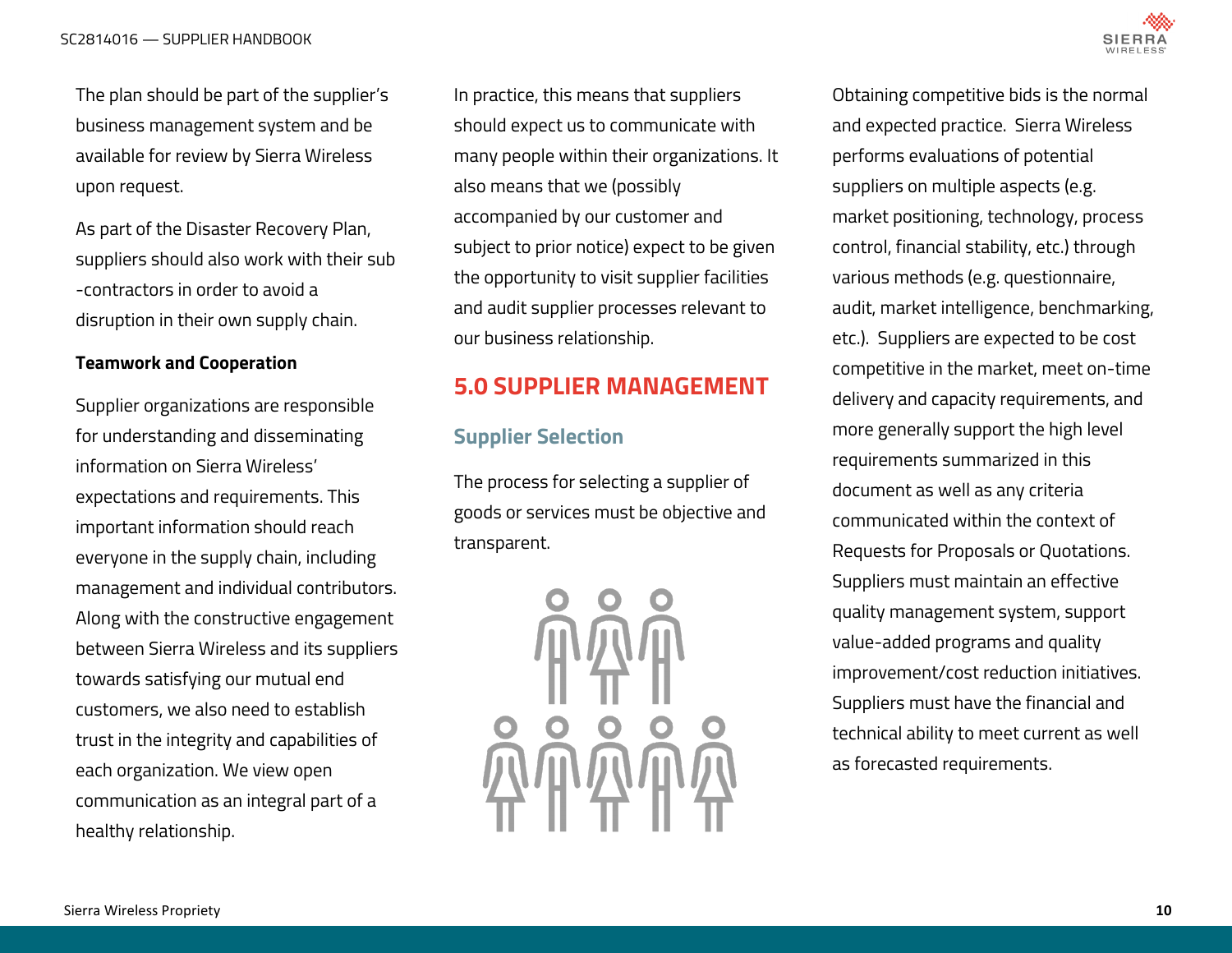

<span id="page-9-0"></span>The plan should be part of the supplier's business management system and be available for review by Sierra Wireless upon request.

As part of the Disaster Recovery Plan, suppliers should also work with their sub -contractors in order to avoid a disruption in their own supply chain.

#### **Teamwork and Cooperation**

Supplier organizations are responsible for understanding and disseminating information on Sierra Wireless' expectations and requirements. This important information should reach everyone in the supply chain, including management and individual contributors. Along with the constructive engagement between Sierra Wireless and its suppliers towards satisfying our mutual end customers, we also need to establish trust in the integrity and capabilities of each organization. We view open communication as an integral part of a healthy relationship.

In practice, this means that suppliers should expect us to communicate with many people within their organizations. It also means that we (possibly accompanied by our customer and subject to prior notice) expect to be given the opportunity to visit supplier facilities and audit supplier processes relevant to our business relationship.

# **5.0 SUPPLIER MANAGEMENT**

### **Supplier Selection**

The process for selecting a supplier of goods or services must be objective and transparent.



Obtaining competitive bids is the normal and expected practice. Sierra Wireless performs evaluations of potential suppliers on multiple aspects (e.g. market positioning, technology, process control, financial stability, etc.) through various methods (e.g. questionnaire, audit, market intelligence, benchmarking, etc.). Suppliers are expected to be cost competitive in the market, meet on-time delivery and capacity requirements, and more generally support the high level requirements summarized in this document as well as any criteria communicated within the context of Requests for Proposals or Quotations. Suppliers must maintain an effective quality management system, support value-added programs and quality improvement/cost reduction initiatives. Suppliers must have the financial and technical ability to meet current as well as forecasted requirements.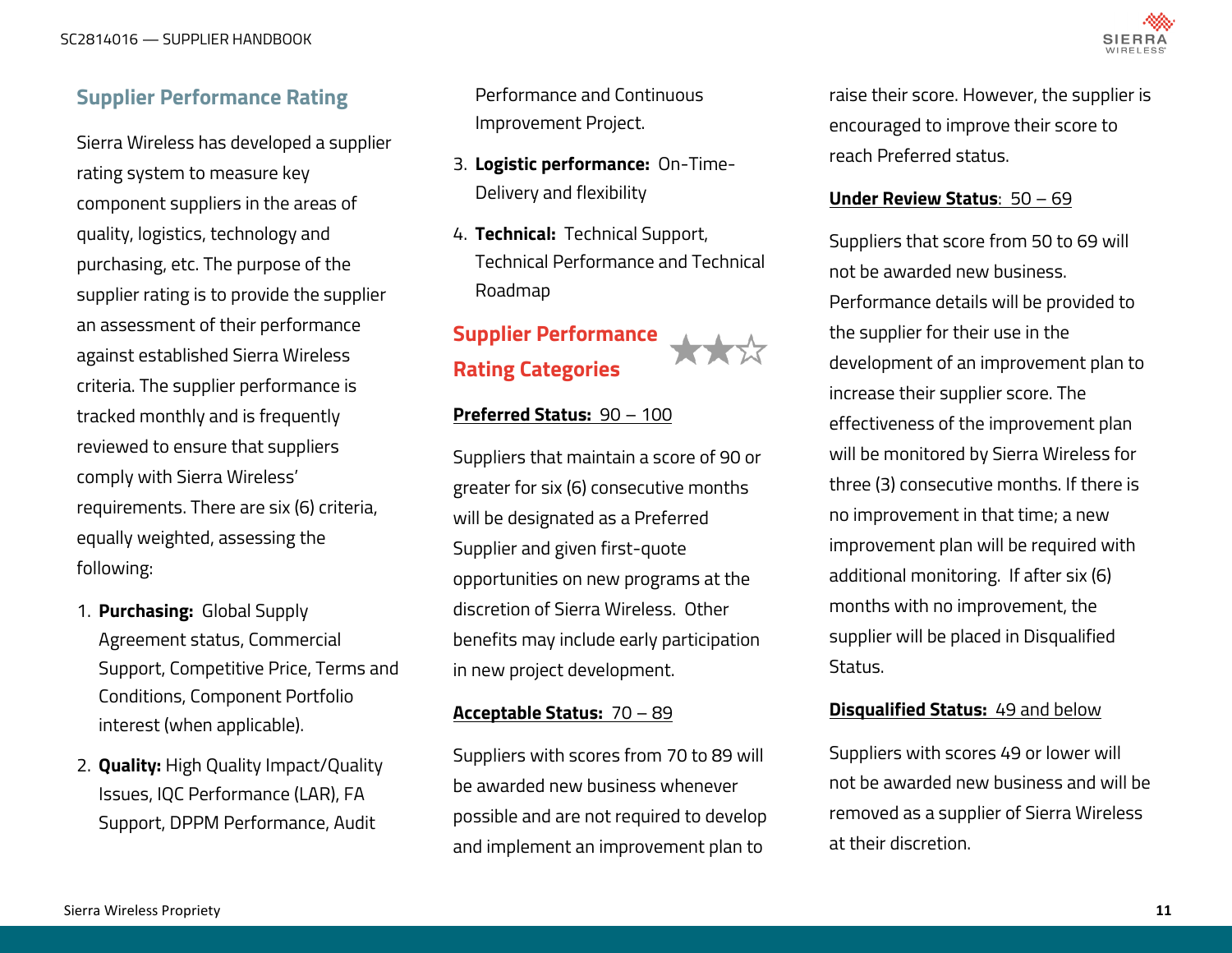

# <span id="page-10-0"></span>**Supplier Performance Rating**

Sierra Wireless has developed a supplier rating system to measure key component suppliers in the areas of quality, logistics, technology and purchasing, etc. The purpose of the supplier rating is to provide the supplier an assessment of their performance against established Sierra Wireless criteria. The supplier performance is tracked monthly and is frequently reviewed to ensure that suppliers comply with Sierra Wireless' requirements. There are six (6) criteria, equally weighted, assessing the following:

- 1. **Purchasing:** Global Supply Agreement status, Commercial Support, Competitive Price, Terms and Conditions, Component Portfolio interest (when applicable).
- 2. **Quality:** High Quality Impact/Quality Issues, IQC Performance (LAR), FA Support, DPPM Performance, Audit

Performance and Continuous Improvement Project.

- 3. **Logistic performance:** On-Time-Delivery and flexibility
- 4. **Technical:** Technical Support, Technical Performance and Technical Roadmap

# **Supplier Performance Rating Categories**

#### **Preferred Status:** 90 – 100

Suppliers that maintain a score of 90 or greater for six (6) consecutive months will be designated as a Preferred Supplier and given first-quote opportunities on new programs at the discretion of Sierra Wireless. Other benefits may include early participation in new project development.

#### **Acceptable Status:** 70 – 89

Suppliers with scores from 70 to 89 will be awarded new business whenever possible and are not required to develop and implement an improvement plan to

raise their score. However, the supplier is encouraged to improve their score to reach Preferred status.

#### **Under Review Status**: 50 – 69

Suppliers that score from 50 to 69 will not be awarded new business. Performance details will be provided to the supplier for their use in the development of an improvement plan to increase their supplier score. The effectiveness of the improvement plan will be monitored by Sierra Wireless for three (3) consecutive months. If there is no improvement in that time; a new improvement plan will be required with additional monitoring. If after six (6) months with no improvement, the supplier will be placed in Disqualified Status.

#### **Disqualified Status:** 49 and below

Suppliers with scores 49 or lower will not be awarded new business and will be removed as a supplier of Sierra Wireless at their discretion.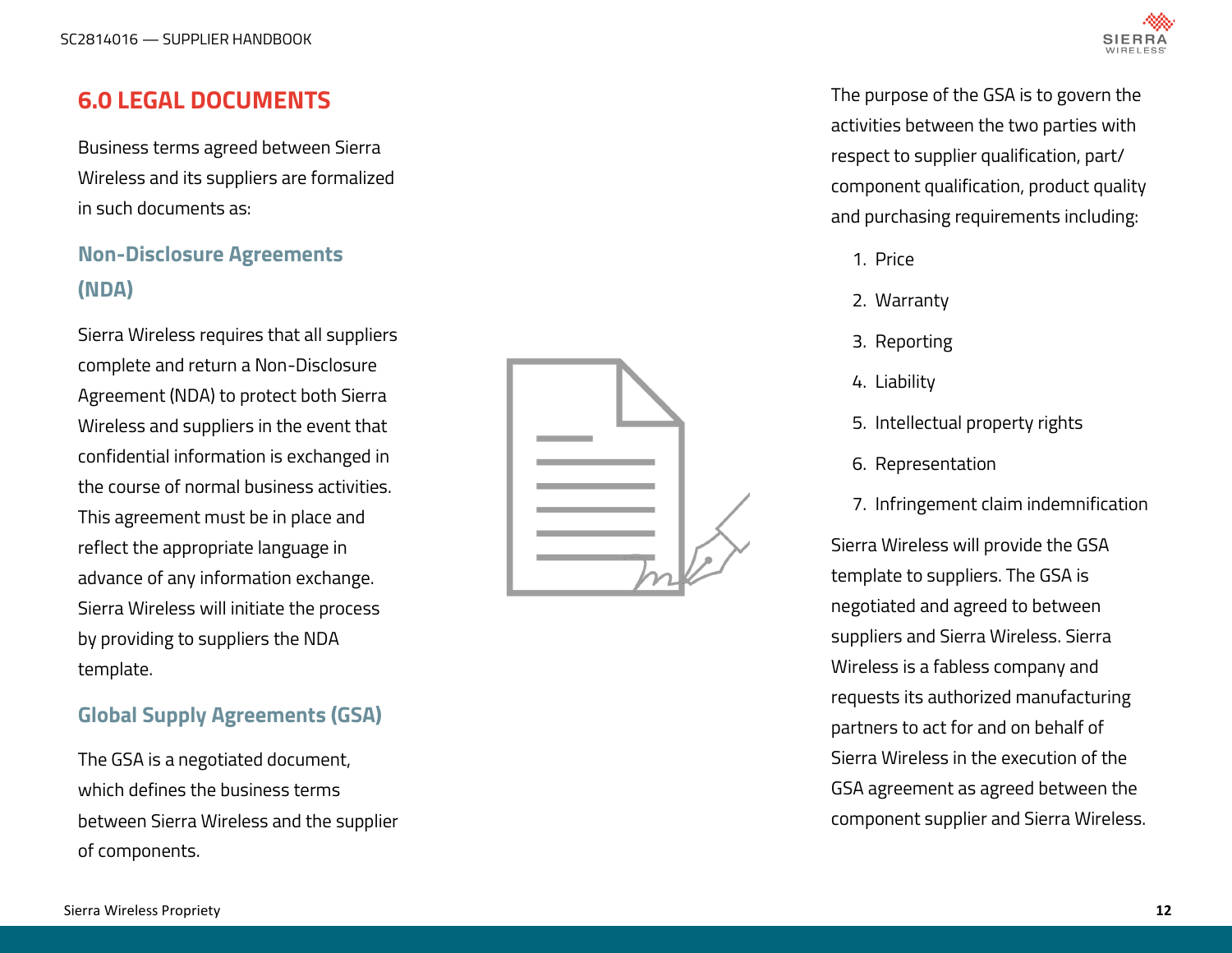# <span id="page-11-0"></span>**6.0 LEGAL DOCUMENTS**

Business terms agreed between Sierra Wireless and its suppliers are formalized in such documents as:

# **Non-Disclosure Agreements (NDA)**

Sierra Wireless requires that all suppliers complete and return a Non-Disclosure Agreement (NDA) to protect both Sierra Wireless and suppliers in the event that confidential information is exchanged in the course of normal business activities. This agreement must be in place and reflect the appropriate language in advance of any information exchange. Sierra Wireless will initiate the process by providing to suppliers the NDA template.

# **Global Supply Agreements (GSA)**

The GSA is a negotiated document, which defines the business terms between Sierra Wireless and the supplier of components.





The purpose of the GSA is to govern the activities between the two parties with respect to supplier qualification, part/ component qualification, product quality and purchasing requirements including:

- 1. Price
- 2. Warranty
- 3. Reporting
- 4. Liability
- 5. Intellectual property rights
- 6. Representation
- 7. Infringement claim indemnification

Sierra Wireless will provide the GSA template to suppliers. The GSA is negotiated and agreed to between suppliers and Sierra Wireless. Sierra Wireless is a fabless company and requests its authorized manufacturing partners to act for and on behalf of Sierra Wireless in the execution of the GSA agreement as agreed between the component supplier and Sierra Wireless.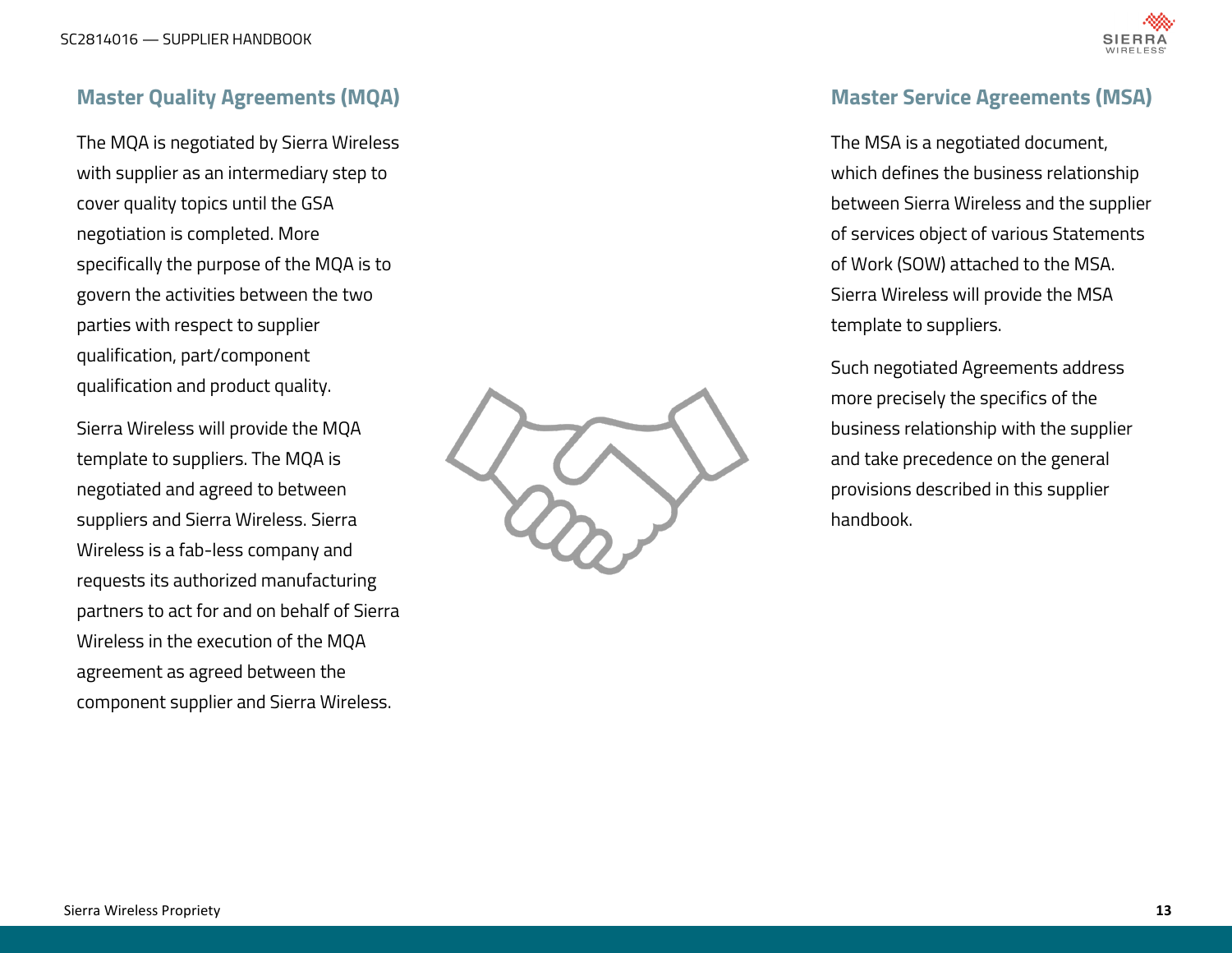

### <span id="page-12-0"></span>**Master Quality Agreements (MQA)**

The MQA is negotiated by Sierra Wireless with supplier as an intermediary step to cover quality topics until the GSA negotiation is completed. More specifically the purpose of the MQA is to govern the activities between the two parties with respect to supplier qualification, part/component qualification and product quality.

Sierra Wireless will provide the MQA template to suppliers. The MQA is negotiated and agreed to between suppliers and Sierra Wireless. Sierra Wireless is a fab-less company and requests its authorized manufacturing partners to act for and on behalf of Sierra Wireless in the execution of the MQA agreement as agreed between the component supplier and Sierra Wireless.



# **Master Service Agreements (MSA)**

The MSA is a negotiated document, which defines the business relationship between Sierra Wireless and the supplier of services object of various Statements of Work (SOW) attached to the MSA. Sierra Wireless will provide the MSA template to suppliers.

Such negotiated Agreements address more precisely the specifics of the business relationship with the supplier and take precedence on the general provisions described in this supplier handbook.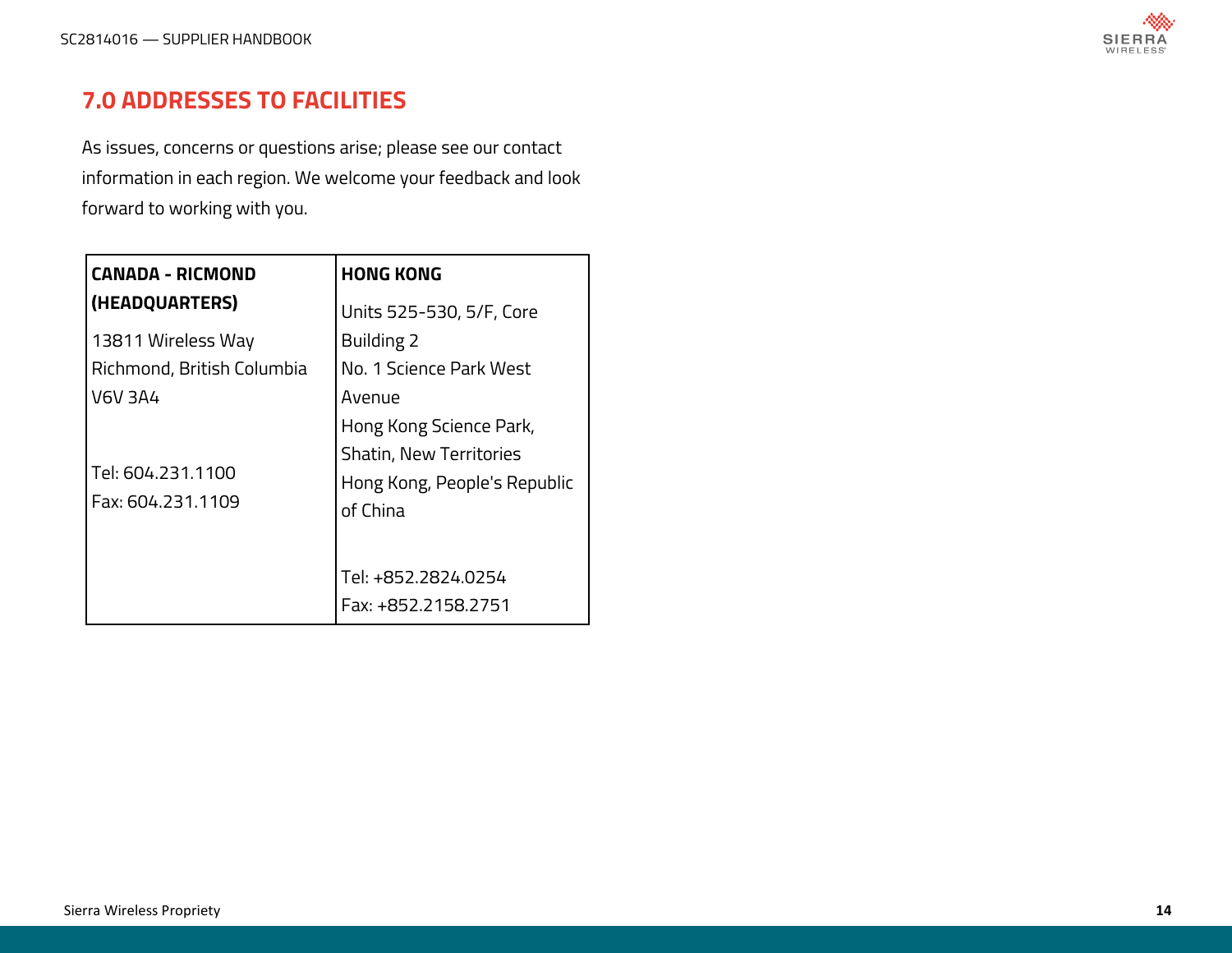

# <span id="page-13-0"></span>**7.0 ADDRESSES TO FACILITIES**

As issues, concerns or questions arise; please see our contact information in each region. We welcome your feedback and look forward to working with you.

| <b>CANADA - RICMOND</b>                | <b>HONG KONG</b>                                                           |  |  |
|----------------------------------------|----------------------------------------------------------------------------|--|--|
| (HEADQUARTERS)                         | Units 525-530, 5/F, Core                                                   |  |  |
| 13811 Wireless Way                     | Building 2                                                                 |  |  |
| Richmond, British Columbia             | No. 1 Science Park West                                                    |  |  |
| V6V 3A4                                | Avenue                                                                     |  |  |
|                                        | Hong Kong Science Park,                                                    |  |  |
| Tel: 604.231.1100<br>Fax: 604.231.1109 | <b>Shatin, New Territories</b><br>Hong Kong, People's Republic<br>of China |  |  |
|                                        | Tel: +852.2824.0254<br>Fax: +852.2158.2751                                 |  |  |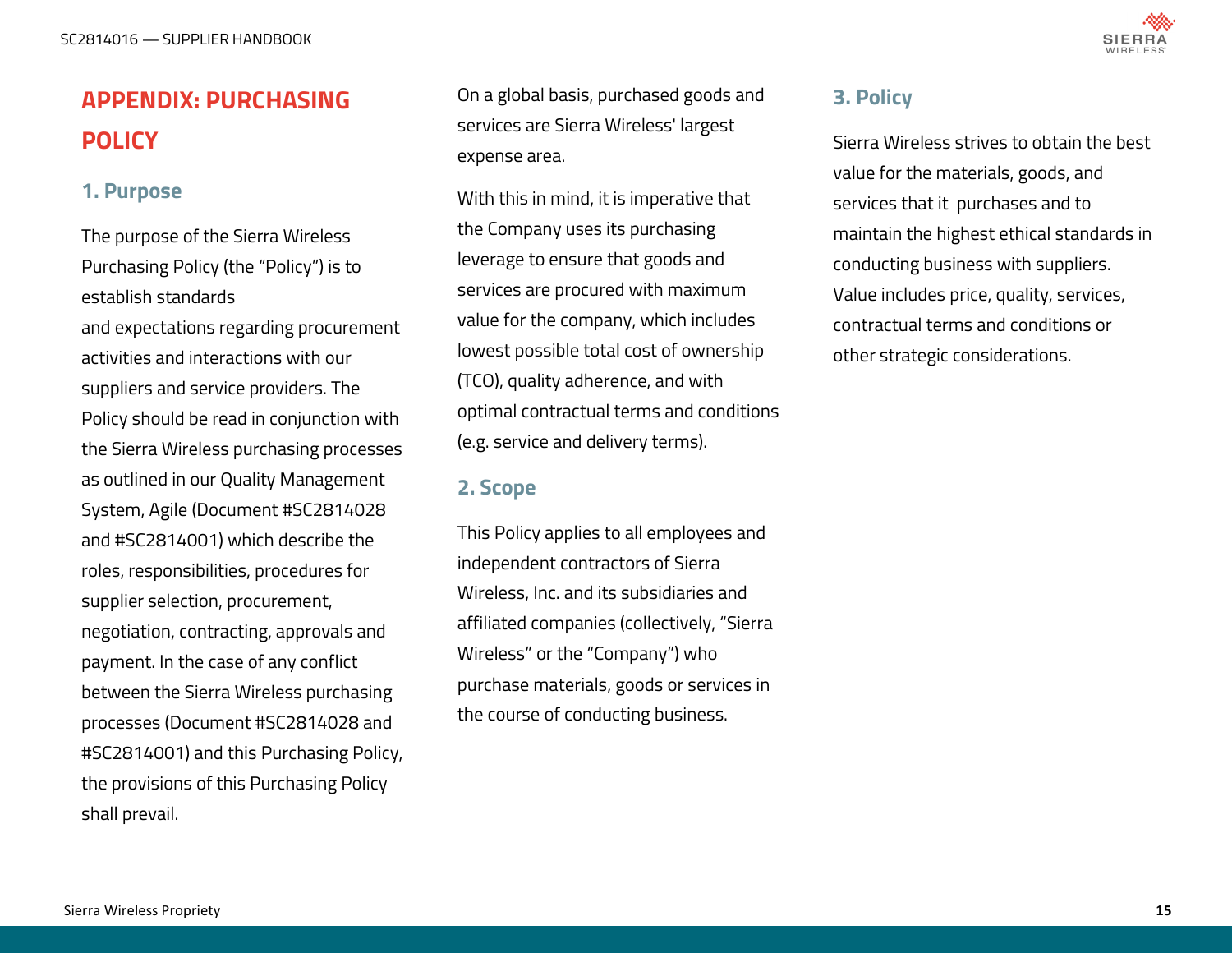

# <span id="page-14-0"></span>**APPENDIX: PURCHASING POLICY**

### **1. Purpose**

The purpose of the Sierra Wireless Purchasing Policy (the "Policy") is to establish standards and expectations regarding procurement activities and interactions with our suppliers and service providers. The Policy should be read in conjunction with the Sierra Wireless purchasing processes as outlined in our Quality Management System, Agile (Document #SC2814028 and #SC2814001) which describe the roles, responsibilities, procedures for supplier selection, procurement, negotiation, contracting, approvals and payment. In the case of any conflict between the Sierra Wireless purchasing processes (Document #SC2814028 and #SC2814001) and this Purchasing Policy, the provisions of this Purchasing Policy shall prevail.

On a global basis, purchased goods and services are Sierra Wireless' largest expense area.

With this in mind, it is imperative that the Company uses its purchasing leverage to ensure that goods and services are procured with maximum value for the company, which includes lowest possible total cost of ownership (TCO), quality adherence, and with optimal contractual terms and conditions (e.g. service and delivery terms).

### **2. Scope**

This Policy applies to all employees and independent contractors of Sierra Wireless, Inc. and its subsidiaries and affiliated companies (collectively, "Sierra Wireless" or the "Company") who purchase materials, goods or services in the course of conducting business.

### **3. Policy**

Sierra Wireless strives to obtain the best value for the materials, goods, and services that it purchases and to maintain the highest ethical standards in conducting business with suppliers. Value includes price, quality, services, contractual terms and conditions or other strategic considerations.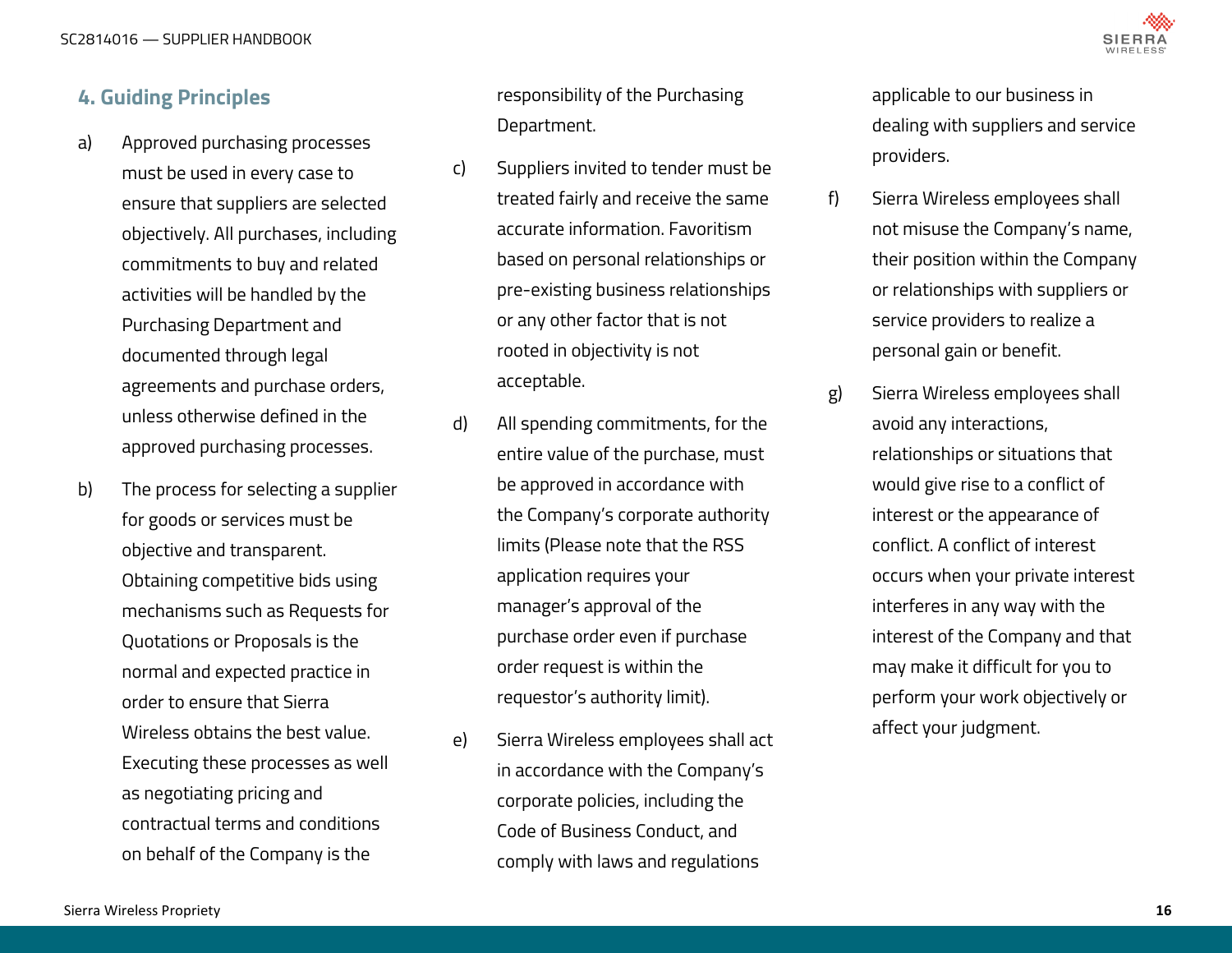

### <span id="page-15-0"></span>**4. Guiding Principles**

- a) Approved purchasing processes must be used in every case to ensure that suppliers are selected objectively. All purchases, including commitments to buy and related activities will be handled by the Purchasing Department and documented through legal agreements and purchase orders, unless otherwise defined in the approved purchasing processes.
- b) The process for selecting a supplier for goods or services must be objective and transparent. Obtaining competitive bids using mechanisms such as Requests for Quotations or Proposals is the normal and expected practice in order to ensure that Sierra Wireless obtains the best value. Executing these processes as well as negotiating pricing and contractual terms and conditions on behalf of the Company is the

responsibility of the Purchasing Department.

- c) Suppliers invited to tender must be treated fairly and receive the same accurate information. Favoritism based on personal relationships or pre-existing business relationships or any other factor that is not rooted in objectivity is not acceptable.
- d) All spending commitments, for the entire value of the purchase, must be approved in accordance with the Company's corporate authority limits (Please note that the RSS application requires your manager's approval of the purchase order even if purchase order request is within the requestor's authority limit).
- e) Sierra Wireless employees shall act in accordance with the Company's corporate policies, including the Code of Business Conduct, and comply with laws and regulations

applicable to our business in dealing with suppliers and service providers.

- f) Sierra Wireless employees shall not misuse the Company's name, their position within the Company or relationships with suppliers or service providers to realize a personal gain or benefit.
- g) Sierra Wireless employees shall avoid any interactions, relationships or situations that would give rise to a conflict of interest or the appearance of conflict. A conflict of interest occurs when your private interest interferes in any way with the interest of the Company and that may make it difficult for you to perform your work objectively or affect your judgment.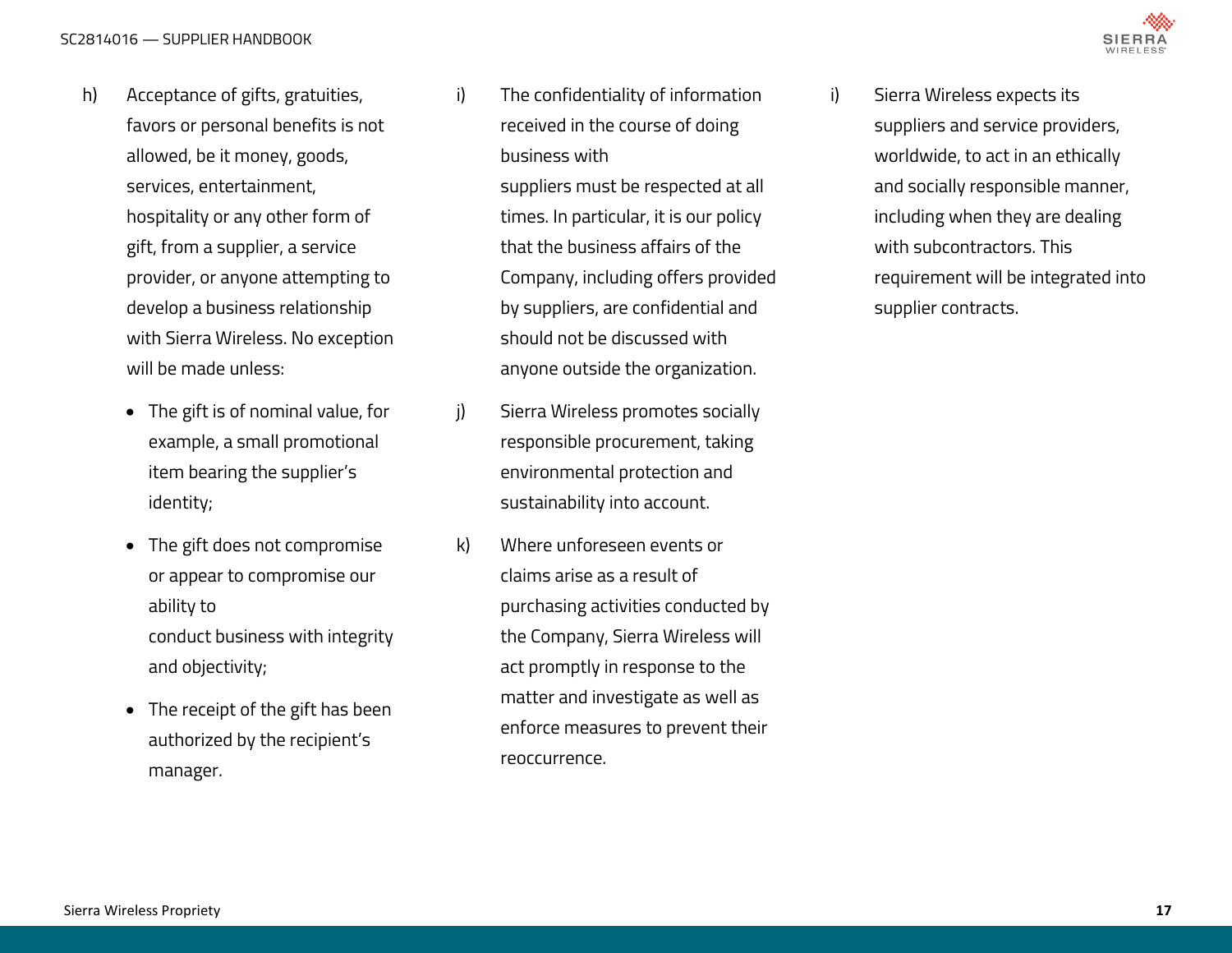- h) Acceptance of gifts, gratuities, favors or personal benefits is not allowed, be it money, goods, services, entertainment, hospitality or any other form of gift, from a supplier, a service provider, or anyone attempting to develop a business relationship with Sierra Wireless. No exception will be made unless:
	- The gift is of nominal value, for example, a small promotional item bearing the supplier's identity;
	- The gift does not compromise or appear to compromise our ability to conduct business with integrity and objectivity;
	- The receipt of the gift has been authorized by the recipient's manager.

i) The confidentiality of information received in the course of doing business with

> suppliers must be respected at all times. In particular, it is our policy that the business affairs of the Company, including offers provided by suppliers, are confidential and should not be discussed with anyone outside the organization.

- j) Sierra Wireless promotes socially responsible procurement, taking environmental protection and sustainability into account.
- k) Where unforeseen events or claims arise as a result of purchasing activities conducted by the Company, Sierra Wireless will act promptly in response to the matter and investigate as well as enforce measures to prevent their reoccurrence.

i) Sierra Wireless expects its suppliers and service providers, worldwide, to act in an ethically and socially responsible manner, including when they are dealing with subcontractors. This requirement will be integrated into supplier contracts.